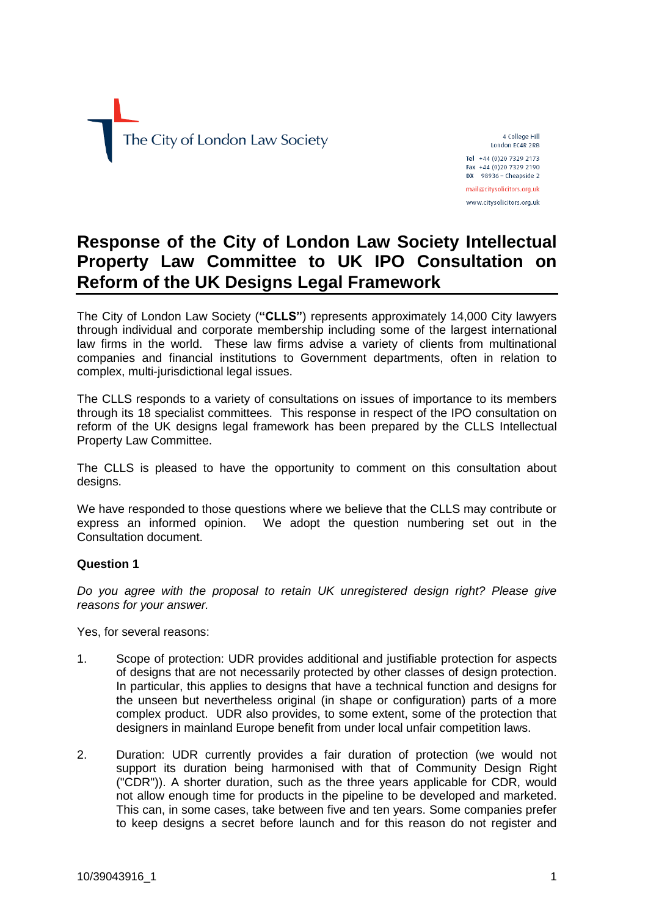

4 College Hill London EC4R 2RB Tel +44 (0) 20 7329 2173 Fax +44 (0) 20 7329 2190 DX  $98936 -$  Cheapside 2

mail@citysolicitors.org.uk www.citysolicitors.org.uk

# **Response of the City of London Law Society Intellectual Property Law Committee to UK IPO Consultation on Reform of the UK Designs Legal Framework**

The City of London Law Society (**"CLLS"**) represents approximately 14,000 City lawyers through individual and corporate membership including some of the largest international law firms in the world. These law firms advise a variety of clients from multinational companies and financial institutions to Government departments, often in relation to complex, multi-jurisdictional legal issues.

The CLLS responds to a variety of consultations on issues of importance to its members through its 18 specialist committees. This response in respect of the IPO consultation on reform of the UK designs legal framework has been prepared by the CLLS Intellectual Property Law Committee.

The CLLS is pleased to have the opportunity to comment on this consultation about designs.

We have responded to those questions where we believe that the CLLS may contribute or express an informed opinion. We adopt the question numbering set out in the Consultation document.

# **Question 1**

*Do you agree with the proposal to retain UK unregistered design right? Please give reasons for your answer.*

Yes, for several reasons:

- 1. Scope of protection: UDR provides additional and justifiable protection for aspects of designs that are not necessarily protected by other classes of design protection. In particular, this applies to designs that have a technical function and designs for the unseen but nevertheless original (in shape or configuration) parts of a more complex product. UDR also provides, to some extent, some of the protection that designers in mainland Europe benefit from under local unfair competition laws.
- 2. Duration: UDR currently provides a fair duration of protection (we would not support its duration being harmonised with that of Community Design Right ("CDR")). A shorter duration, such as the three years applicable for CDR, would not allow enough time for products in the pipeline to be developed and marketed. This can, in some cases, take between five and ten years. Some companies prefer to keep designs a secret before launch and for this reason do not register and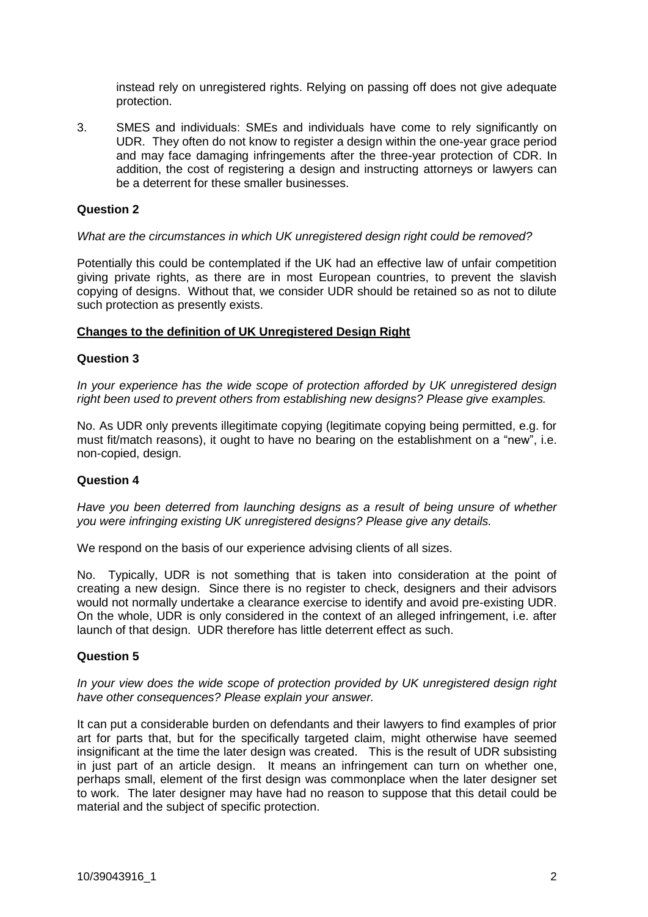instead rely on unregistered rights. Relying on passing off does not give adequate protection.

3. SMES and individuals: SMEs and individuals have come to rely significantly on UDR. They often do not know to register a design within the one-year grace period and may face damaging infringements after the three-year protection of CDR. In addition, the cost of registering a design and instructing attorneys or lawyers can be a deterrent for these smaller businesses.

## **Question 2**

## *What are the circumstances in which UK unregistered design right could be removed?*

Potentially this could be contemplated if the UK had an effective law of unfair competition giving private rights, as there are in most European countries, to prevent the slavish copying of designs. Without that, we consider UDR should be retained so as not to dilute such protection as presently exists.

## **Changes to the definition of UK Unregistered Design Right**

## **Question 3**

*In your experience has the wide scope of protection afforded by UK unregistered design right been used to prevent others from establishing new designs? Please give examples.*

No. As UDR only prevents illegitimate copying (legitimate copying being permitted, e.g. for must fit/match reasons), it ought to have no bearing on the establishment on a "new", i.e. non-copied, design.

## **Question 4**

*Have you been deterred from launching designs as a result of being unsure of whether you were infringing existing UK unregistered designs? Please give any details.*

We respond on the basis of our experience advising clients of all sizes.

No. Typically, UDR is not something that is taken into consideration at the point of creating a new design. Since there is no register to check, designers and their advisors would not normally undertake a clearance exercise to identify and avoid pre-existing UDR. On the whole, UDR is only considered in the context of an alleged infringement, i.e. after launch of that design. UDR therefore has little deterrent effect as such.

## **Question 5**

*In your view does the wide scope of protection provided by UK unregistered design right have other consequences? Please explain your answer.*

It can put a considerable burden on defendants and their lawyers to find examples of prior art for parts that, but for the specifically targeted claim, might otherwise have seemed insignificant at the time the later design was created. This is the result of UDR subsisting in just part of an article design. It means an infringement can turn on whether one, perhaps small, element of the first design was commonplace when the later designer set to work. The later designer may have had no reason to suppose that this detail could be material and the subject of specific protection.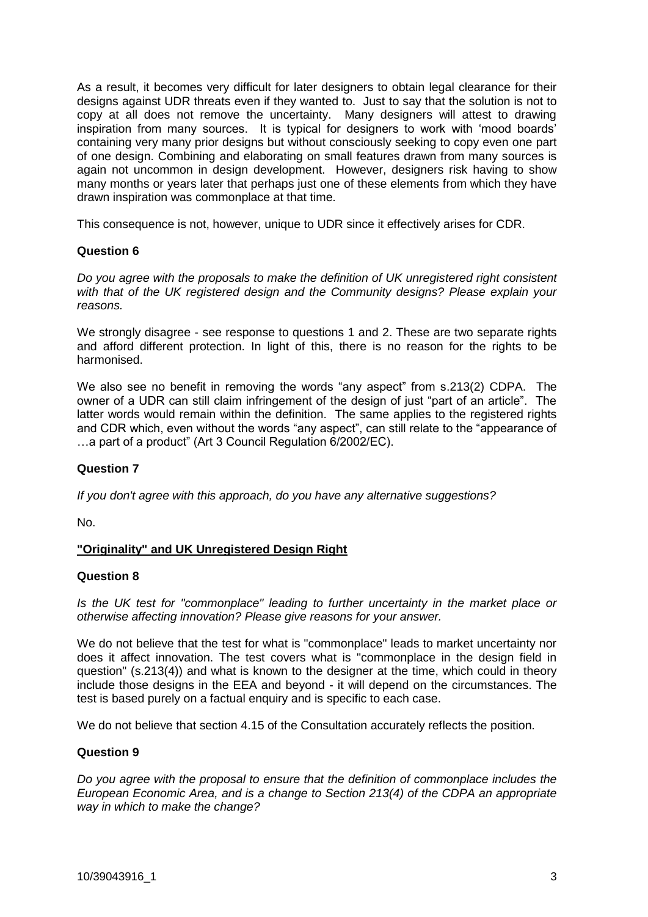As a result, it becomes very difficult for later designers to obtain legal clearance for their designs against UDR threats even if they wanted to. Just to say that the solution is not to copy at all does not remove the uncertainty. Many designers will attest to drawing inspiration from many sources. It is typical for designers to work with 'mood boards' containing very many prior designs but without consciously seeking to copy even one part of one design. Combining and elaborating on small features drawn from many sources is again not uncommon in design development. However, designers risk having to show many months or years later that perhaps just one of these elements from which they have drawn inspiration was commonplace at that time.

This consequence is not, however, unique to UDR since it effectively arises for CDR.

# **Question 6**

*Do you agree with the proposals to make the definition of UK unregistered right consistent with that of the UK registered design and the Community designs? Please explain your reasons.*

We strongly disagree - see response to questions 1 and 2. These are two separate rights and afford different protection. In light of this, there is no reason for the rights to be harmonised.

We also see no benefit in removing the words "any aspect" from s.213(2) CDPA. The owner of a UDR can still claim infringement of the design of just "part of an article". The latter words would remain within the definition. The same applies to the registered rights and CDR which, even without the words "any aspect", can still relate to the "appearance of …a part of a product" (Art 3 Council Regulation 6/2002/EC).

# **Question 7**

*If you don't agree with this approach, do you have any alternative suggestions?*

No.

# **"Originality" and UK Unregistered Design Right**

## **Question 8**

*Is the UK test for "commonplace" leading to further uncertainty in the market place or otherwise affecting innovation? Please give reasons for your answer.*

We do not believe that the test for what is "commonplace" leads to market uncertainty nor does it affect innovation. The test covers what is "commonplace in the design field in question" (s.213(4)) and what is known to the designer at the time, which could in theory include those designs in the EEA and beyond - it will depend on the circumstances. The test is based purely on a factual enquiry and is specific to each case.

We do not believe that section 4.15 of the Consultation accurately reflects the position.

## **Question 9**

*Do you agree with the proposal to ensure that the definition of commonplace includes the European Economic Area, and is a change to Section 213(4) of the CDPA an appropriate way in which to make the change?*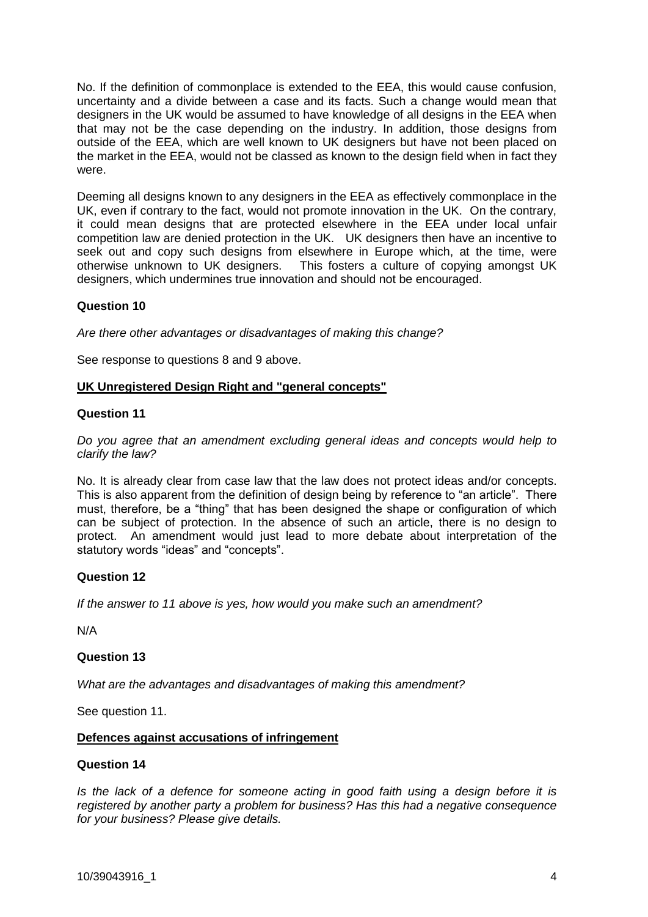No. If the definition of commonplace is extended to the EEA, this would cause confusion, uncertainty and a divide between a case and its facts. Such a change would mean that designers in the UK would be assumed to have knowledge of all designs in the EEA when that may not be the case depending on the industry. In addition, those designs from outside of the EEA, which are well known to UK designers but have not been placed on the market in the EEA, would not be classed as known to the design field when in fact they were.

Deeming all designs known to any designers in the EEA as effectively commonplace in the UK, even if contrary to the fact, would not promote innovation in the UK. On the contrary, it could mean designs that are protected elsewhere in the EEA under local unfair competition law are denied protection in the UK. UK designers then have an incentive to seek out and copy such designs from elsewhere in Europe which, at the time, were otherwise unknown to UK designers. This fosters a culture of copying amongst UK designers, which undermines true innovation and should not be encouraged.

## **Question 10**

*Are there other advantages or disadvantages of making this change?*

See response to questions 8 and 9 above.

## **UK Unregistered Design Right and "general concepts"**

## **Question 11**

*Do you agree that an amendment excluding general ideas and concepts would help to clarify the law?*

No. It is already clear from case law that the law does not protect ideas and/or concepts. This is also apparent from the definition of design being by reference to "an article". There must, therefore, be a "thing" that has been designed the shape or configuration of which can be subject of protection. In the absence of such an article, there is no design to protect. An amendment would just lead to more debate about interpretation of the statutory words "ideas" and "concepts".

## **Question 12**

*If the answer to 11 above is yes, how would you make such an amendment?*

N/A

## **Question 13**

*What are the advantages and disadvantages of making this amendment?*

See question 11.

## **Defences against accusations of infringement**

## **Question 14**

*Is the lack of a defence for someone acting in good faith using a design before it is registered by another party a problem for business? Has this had a negative consequence for your business? Please give details.*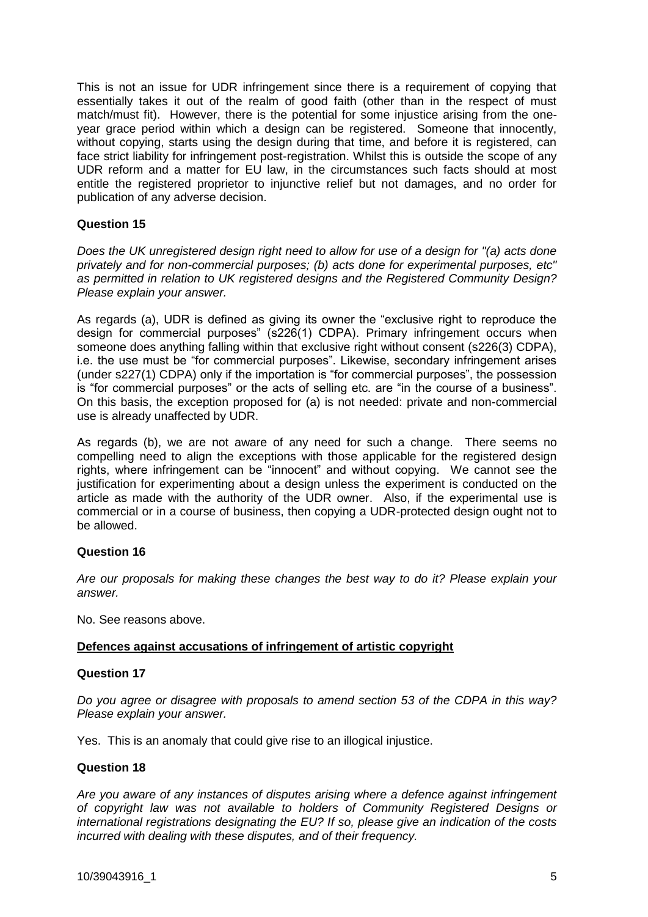This is not an issue for UDR infringement since there is a requirement of copying that essentially takes it out of the realm of good faith (other than in the respect of must match/must fit). However, there is the potential for some injustice arising from the oneyear grace period within which a design can be registered. Someone that innocently, without copying, starts using the design during that time, and before it is registered, can face strict liability for infringement post-registration. Whilst this is outside the scope of any UDR reform and a matter for EU law, in the circumstances such facts should at most entitle the registered proprietor to injunctive relief but not damages, and no order for publication of any adverse decision.

## **Question 15**

*Does the UK unregistered design right need to allow for use of a design for "(a) acts done privately and for non-commercial purposes; (b) acts done for experimental purposes, etc" as permitted in relation to UK registered designs and the Registered Community Design? Please explain your answer.*

As regards (a), UDR is defined as giving its owner the "exclusive right to reproduce the design for commercial purposes" (s226(1) CDPA). Primary infringement occurs when someone does anything falling within that exclusive right without consent (s226(3) CDPA), i.e. the use must be "for commercial purposes". Likewise, secondary infringement arises (under s227(1) CDPA) only if the importation is "for commercial purposes", the possession is "for commercial purposes" or the acts of selling etc. are "in the course of a business". On this basis, the exception proposed for (a) is not needed: private and non-commercial use is already unaffected by UDR.

As regards (b), we are not aware of any need for such a change. There seems no compelling need to align the exceptions with those applicable for the registered design rights, where infringement can be "innocent" and without copying. We cannot see the justification for experimenting about a design unless the experiment is conducted on the article as made with the authority of the UDR owner. Also, if the experimental use is commercial or in a course of business, then copying a UDR-protected design ought not to be allowed.

# **Question 16**

*Are our proposals for making these changes the best way to do it? Please explain your answer.*

No. See reasons above.

# **Defences against accusations of infringement of artistic copyright**

## **Question 17**

*Do you agree or disagree with proposals to amend section 53 of the CDPA in this way? Please explain your answer.*

Yes. This is an anomaly that could give rise to an illogical injustice.

## **Question 18**

*Are you aware of any instances of disputes arising where a defence against infringement of copyright law was not available to holders of Community Registered Designs or international registrations designating the EU? If so, please give an indication of the costs incurred with dealing with these disputes, and of their frequency.*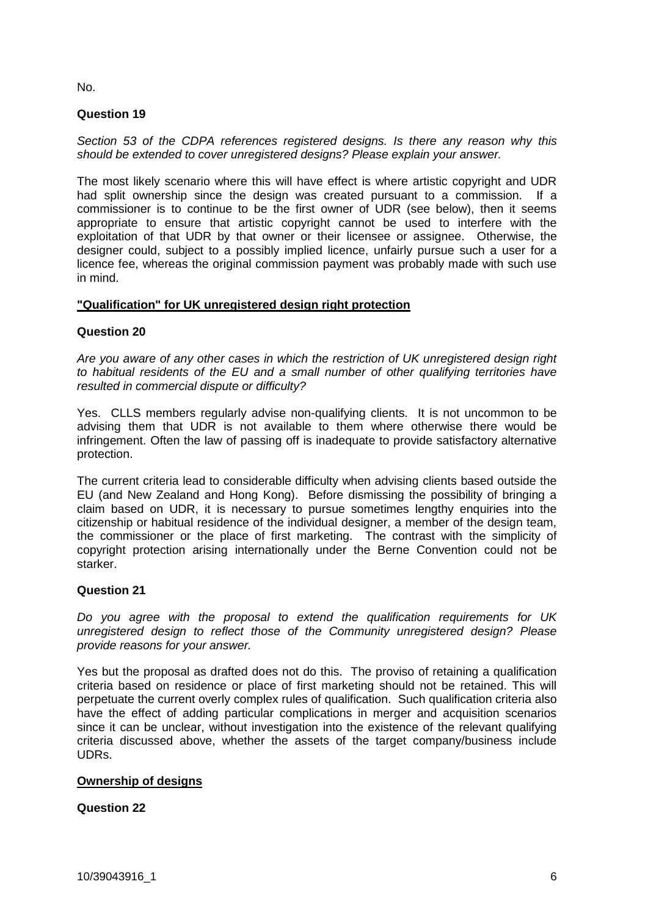No.

# **Question 19**

*Section 53 of the CDPA references registered designs. Is there any reason why this should be extended to cover unregistered designs? Please explain your answer.*

The most likely scenario where this will have effect is where artistic copyright and UDR had split ownership since the design was created pursuant to a commission. If a commissioner is to continue to be the first owner of UDR (see below), then it seems appropriate to ensure that artistic copyright cannot be used to interfere with the exploitation of that UDR by that owner or their licensee or assignee. Otherwise, the designer could, subject to a possibly implied licence, unfairly pursue such a user for a licence fee, whereas the original commission payment was probably made with such use in mind.

# **"Qualification" for UK unregistered design right protection**

# **Question 20**

*Are you aware of any other cases in which the restriction of UK unregistered design right to habitual residents of the EU and a small number of other qualifying territories have resulted in commercial dispute or difficulty?*

Yes. CLLS members regularly advise non-qualifying clients. It is not uncommon to be advising them that UDR is not available to them where otherwise there would be infringement. Often the law of passing off is inadequate to provide satisfactory alternative protection.

The current criteria lead to considerable difficulty when advising clients based outside the EU (and New Zealand and Hong Kong). Before dismissing the possibility of bringing a claim based on UDR, it is necessary to pursue sometimes lengthy enquiries into the citizenship or habitual residence of the individual designer, a member of the design team, the commissioner or the place of first marketing. The contrast with the simplicity of copyright protection arising internationally under the Berne Convention could not be starker.

# **Question 21**

*Do you agree with the proposal to extend the qualification requirements for UK unregistered design to reflect those of the Community unregistered design? Please provide reasons for your answer.*

Yes but the proposal as drafted does not do this. The proviso of retaining a qualification criteria based on residence or place of first marketing should not be retained. This will perpetuate the current overly complex rules of qualification. Such qualification criteria also have the effect of adding particular complications in merger and acquisition scenarios since it can be unclear, without investigation into the existence of the relevant qualifying criteria discussed above, whether the assets of the target company/business include UDRs.

# **Ownership of designs**

# **Question 22**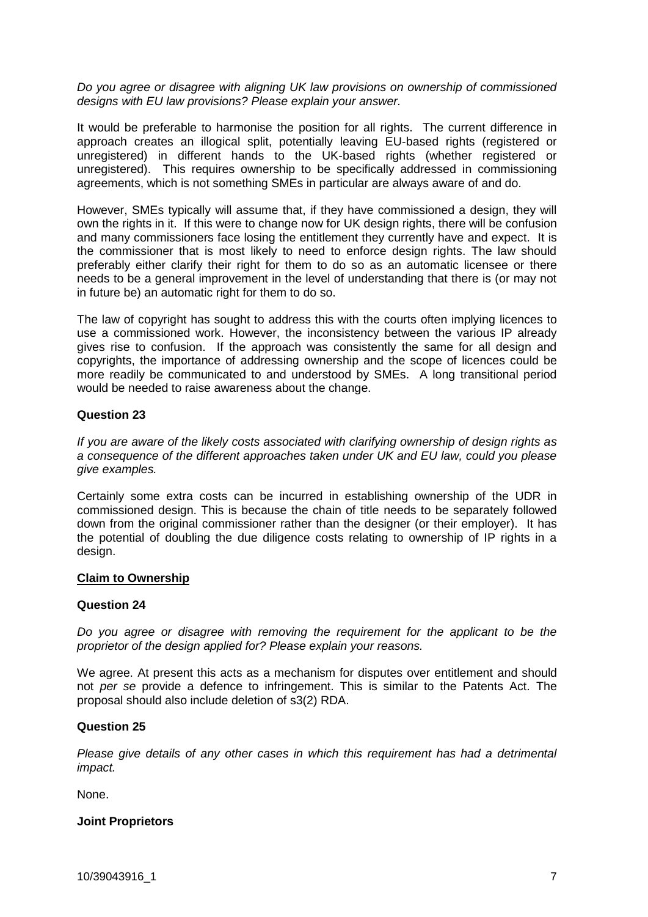*Do you agree or disagree with aligning UK law provisions on ownership of commissioned designs with EU law provisions? Please explain your answer.*

It would be preferable to harmonise the position for all rights. The current difference in approach creates an illogical split, potentially leaving EU-based rights (registered or unregistered) in different hands to the UK-based rights (whether registered or unregistered). This requires ownership to be specifically addressed in commissioning agreements, which is not something SMEs in particular are always aware of and do.

However, SMEs typically will assume that, if they have commissioned a design, they will own the rights in it. If this were to change now for UK design rights, there will be confusion and many commissioners face losing the entitlement they currently have and expect. It is the commissioner that is most likely to need to enforce design rights. The law should preferably either clarify their right for them to do so as an automatic licensee or there needs to be a general improvement in the level of understanding that there is (or may not in future be) an automatic right for them to do so.

The law of copyright has sought to address this with the courts often implying licences to use a commissioned work. However, the inconsistency between the various IP already gives rise to confusion. If the approach was consistently the same for all design and copyrights, the importance of addressing ownership and the scope of licences could be more readily be communicated to and understood by SMEs. A long transitional period would be needed to raise awareness about the change.

## **Question 23**

*If you are aware of the likely costs associated with clarifying ownership of design rights as a consequence of the different approaches taken under UK and EU law, could you please give examples.*

Certainly some extra costs can be incurred in establishing ownership of the UDR in commissioned design. This is because the chain of title needs to be separately followed down from the original commissioner rather than the designer (or their employer). It has the potential of doubling the due diligence costs relating to ownership of IP rights in a design.

## **Claim to Ownership**

## **Question 24**

*Do you agree or disagree with removing the requirement for the applicant to be the proprietor of the design applied for? Please explain your reasons.*

We agree. At present this acts as a mechanism for disputes over entitlement and should not *per se* provide a defence to infringement. This is similar to the Patents Act. The proposal should also include deletion of s3(2) RDA.

#### **Question 25**

*Please give details of any other cases in which this requirement has had a detrimental impact.*

None.

## **Joint Proprietors**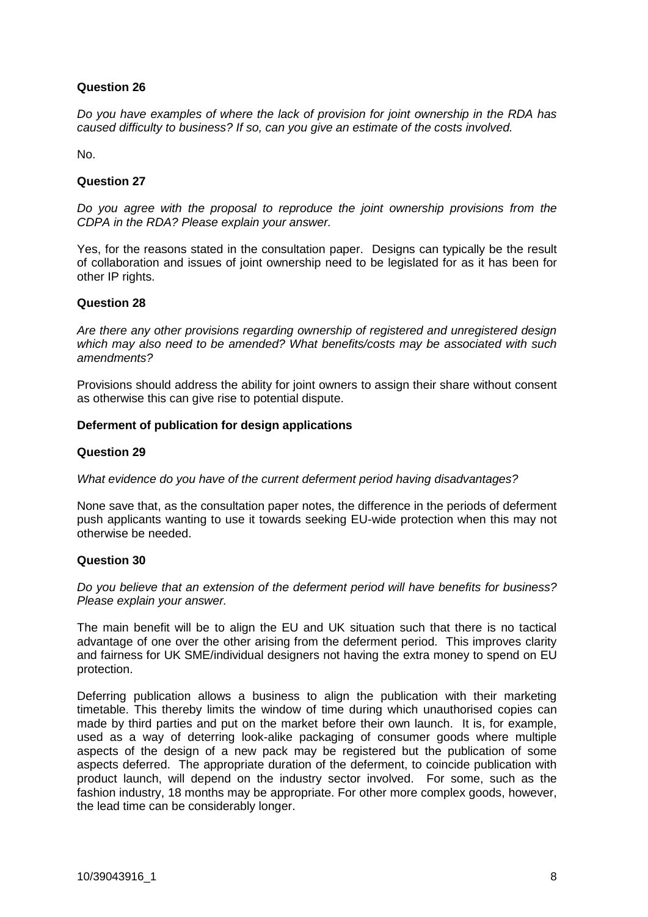# **Question 26**

*Do you have examples of where the lack of provision for joint ownership in the RDA has caused difficulty to business? If so, can you give an estimate of the costs involved.*

No.

## **Question 27**

*Do you agree with the proposal to reproduce the joint ownership provisions from the CDPA in the RDA? Please explain your answer.*

Yes, for the reasons stated in the consultation paper. Designs can typically be the result of collaboration and issues of joint ownership need to be legislated for as it has been for other IP rights.

## **Question 28**

*Are there any other provisions regarding ownership of registered and unregistered design which may also need to be amended? What benefits/costs may be associated with such amendments?*

Provisions should address the ability for joint owners to assign their share without consent as otherwise this can give rise to potential dispute.

## **Deferment of publication for design applications**

## **Question 29**

*What evidence do you have of the current deferment period having disadvantages?*

None save that, as the consultation paper notes, the difference in the periods of deferment push applicants wanting to use it towards seeking EU-wide protection when this may not otherwise be needed.

## **Question 30**

*Do you believe that an extension of the deferment period will have benefits for business? Please explain your answer.*

The main benefit will be to align the EU and UK situation such that there is no tactical advantage of one over the other arising from the deferment period. This improves clarity and fairness for UK SME/individual designers not having the extra money to spend on EU protection.

Deferring publication allows a business to align the publication with their marketing timetable. This thereby limits the window of time during which unauthorised copies can made by third parties and put on the market before their own launch. It is, for example, used as a way of deterring look-alike packaging of consumer goods where multiple aspects of the design of a new pack may be registered but the publication of some aspects deferred. The appropriate duration of the deferment, to coincide publication with product launch, will depend on the industry sector involved. For some, such as the fashion industry, 18 months may be appropriate. For other more complex goods, however, the lead time can be considerably longer.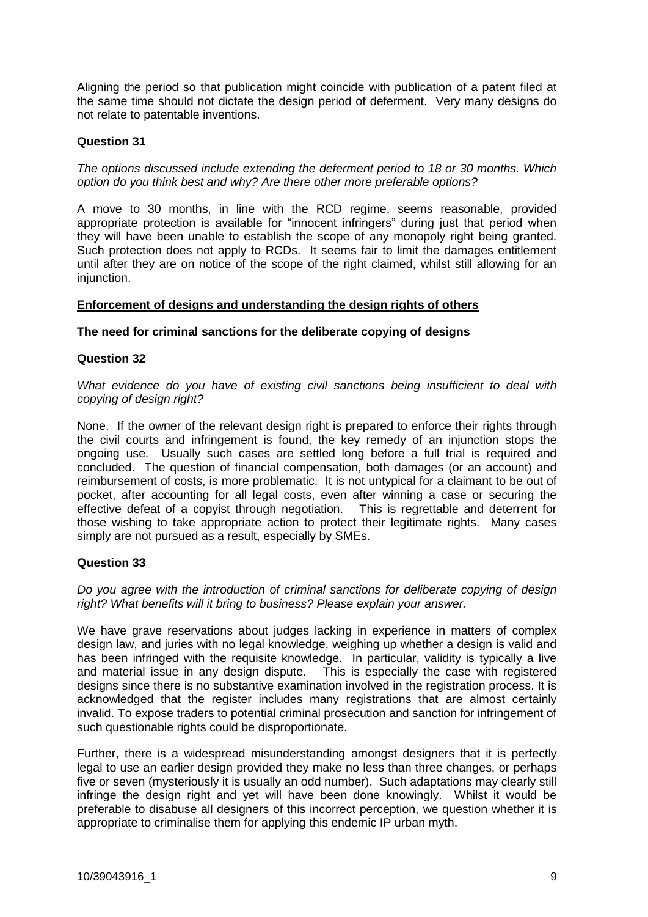Aligning the period so that publication might coincide with publication of a patent filed at the same time should not dictate the design period of deferment. Very many designs do not relate to patentable inventions.

# **Question 31**

*The options discussed include extending the deferment period to 18 or 30 months. Which option do you think best and why? Are there other more preferable options?*

A move to 30 months, in line with the RCD regime, seems reasonable, provided appropriate protection is available for "innocent infringers" during just that period when they will have been unable to establish the scope of any monopoly right being granted. Such protection does not apply to RCDs. It seems fair to limit the damages entitlement until after they are on notice of the scope of the right claimed, whilst still allowing for an injunction.

# **Enforcement of designs and understanding the design rights of others**

**The need for criminal sanctions for the deliberate copying of designs** 

## **Question 32**

*What evidence do you have of existing civil sanctions being insufficient to deal with copying of design right?*

None. If the owner of the relevant design right is prepared to enforce their rights through the civil courts and infringement is found, the key remedy of an injunction stops the ongoing use. Usually such cases are settled long before a full trial is required and concluded. The question of financial compensation, both damages (or an account) and reimbursement of costs, is more problematic. It is not untypical for a claimant to be out of pocket, after accounting for all legal costs, even after winning a case or securing the effective defeat of a copyist through negotiation. This is regrettable and deterrent for those wishing to take appropriate action to protect their legitimate rights. Many cases simply are not pursued as a result, especially by SMEs.

# **Question 33**

*Do you agree with the introduction of criminal sanctions for deliberate copying of design right? What benefits will it bring to business? Please explain your answer.*

We have grave reservations about judges lacking in experience in matters of complex design law, and juries with no legal knowledge, weighing up whether a design is valid and has been infringed with the requisite knowledge. In particular, validity is typically a live and material issue in any design dispute. This is especially the case with registered designs since there is no substantive examination involved in the registration process. It is acknowledged that the register includes many registrations that are almost certainly invalid. To expose traders to potential criminal prosecution and sanction for infringement of such questionable rights could be disproportionate.

Further, there is a widespread misunderstanding amongst designers that it is perfectly legal to use an earlier design provided they make no less than three changes, or perhaps five or seven (mysteriously it is usually an odd number). Such adaptations may clearly still infringe the design right and yet will have been done knowingly. Whilst it would be preferable to disabuse all designers of this incorrect perception, we question whether it is appropriate to criminalise them for applying this endemic IP urban myth.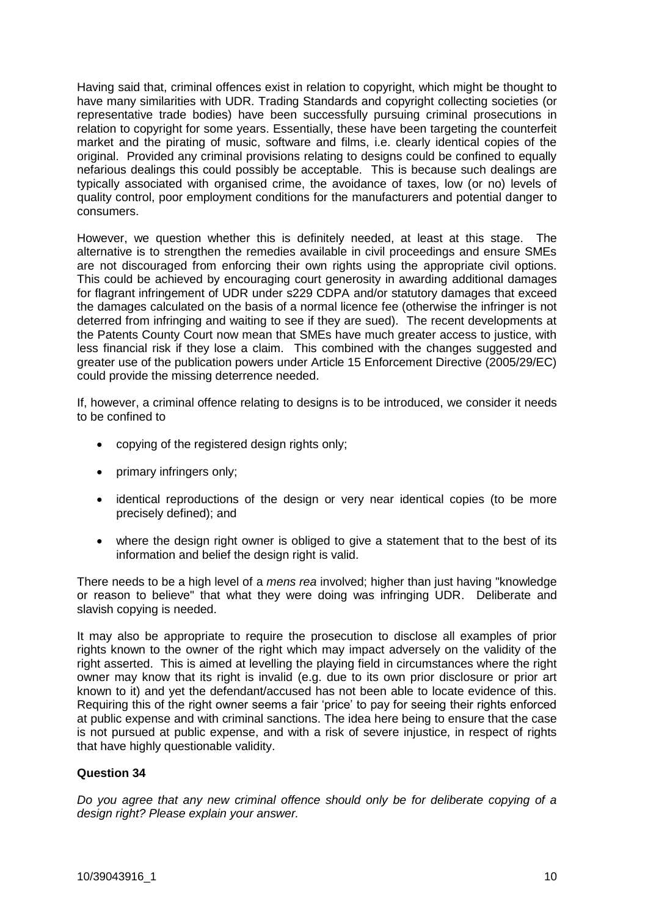Having said that, criminal offences exist in relation to copyright, which might be thought to have many similarities with UDR. Trading Standards and copyright collecting societies (or representative trade bodies) have been successfully pursuing criminal prosecutions in relation to copyright for some years. Essentially, these have been targeting the counterfeit market and the pirating of music, software and films, i.e. clearly identical copies of the original. Provided any criminal provisions relating to designs could be confined to equally nefarious dealings this could possibly be acceptable. This is because such dealings are typically associated with organised crime, the avoidance of taxes, low (or no) levels of quality control, poor employment conditions for the manufacturers and potential danger to consumers.

However, we question whether this is definitely needed, at least at this stage. The alternative is to strengthen the remedies available in civil proceedings and ensure SMEs are not discouraged from enforcing their own rights using the appropriate civil options. This could be achieved by encouraging court generosity in awarding additional damages for flagrant infringement of UDR under s229 CDPA and/or statutory damages that exceed the damages calculated on the basis of a normal licence fee (otherwise the infringer is not deterred from infringing and waiting to see if they are sued). The recent developments at the Patents County Court now mean that SMEs have much greater access to justice, with less financial risk if they lose a claim. This combined with the changes suggested and greater use of the publication powers under Article 15 Enforcement Directive (2005/29/EC) could provide the missing deterrence needed.

If, however, a criminal offence relating to designs is to be introduced, we consider it needs to be confined to

- copying of the registered design rights only;
- primary infringers only;
- identical reproductions of the design or very near identical copies (to be more precisely defined); and
- where the design right owner is obliged to give a statement that to the best of its information and belief the design right is valid.

There needs to be a high level of a *mens rea* involved; higher than just having "knowledge or reason to believe" that what they were doing was infringing UDR. Deliberate and slavish copying is needed.

It may also be appropriate to require the prosecution to disclose all examples of prior rights known to the owner of the right which may impact adversely on the validity of the right asserted. This is aimed at levelling the playing field in circumstances where the right owner may know that its right is invalid (e.g. due to its own prior disclosure or prior art known to it) and yet the defendant/accused has not been able to locate evidence of this. Requiring this of the right owner seems a fair 'price' to pay for seeing their rights enforced at public expense and with criminal sanctions. The idea here being to ensure that the case is not pursued at public expense, and with a risk of severe injustice, in respect of rights that have highly questionable validity.

# **Question 34**

*Do you agree that any new criminal offence should only be for deliberate copying of a design right? Please explain your answer.*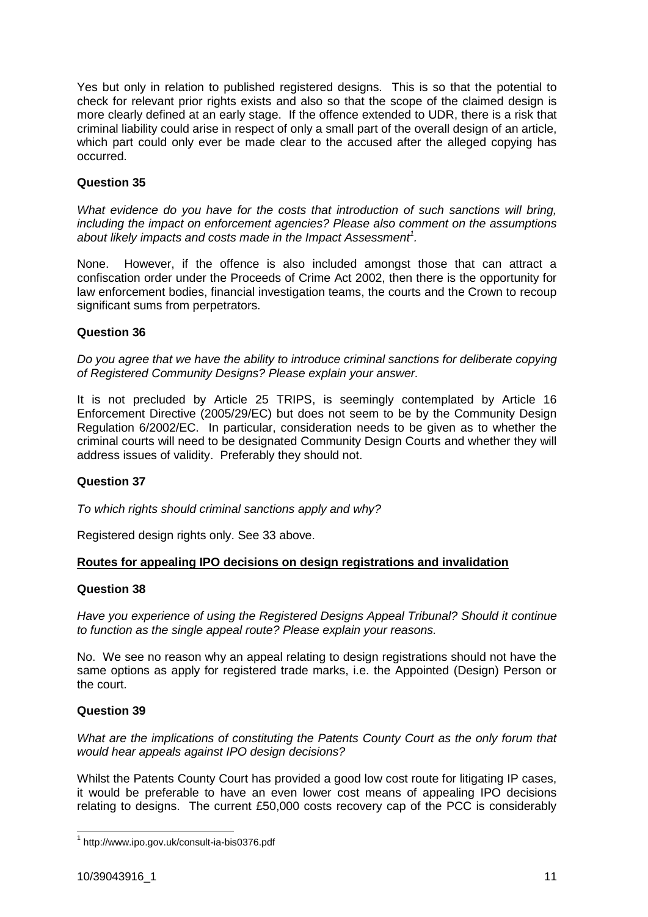Yes but only in relation to published registered designs. This is so that the potential to check for relevant prior rights exists and also so that the scope of the claimed design is more clearly defined at an early stage. If the offence extended to UDR, there is a risk that criminal liability could arise in respect of only a small part of the overall design of an article, which part could only ever be made clear to the accused after the alleged copying has occurred.

# **Question 35**

*What evidence do you have for the costs that introduction of such sanctions will bring, including the impact on enforcement agencies? Please also comment on the assumptions about likely impacts and costs made in the Impact Assessment<sup>1</sup> .*

None. However, if the offence is also included amongst those that can attract a confiscation order under the Proceeds of Crime Act 2002, then there is the opportunity for law enforcement bodies, financial investigation teams, the courts and the Crown to recoup significant sums from perpetrators.

# **Question 36**

*Do you agree that we have the ability to introduce criminal sanctions for deliberate copying of Registered Community Designs? Please explain your answer.*

It is not precluded by Article 25 TRIPS, is seemingly contemplated by Article 16 Enforcement Directive (2005/29/EC) but does not seem to be by the Community Design Regulation 6/2002/EC. In particular, consideration needs to be given as to whether the criminal courts will need to be designated Community Design Courts and whether they will address issues of validity. Preferably they should not.

# **Question 37**

*To which rights should criminal sanctions apply and why?*

Registered design rights only. See 33 above.

# **Routes for appealing IPO decisions on design registrations and invalidation**

## **Question 38**

*Have you experience of using the Registered Designs Appeal Tribunal? Should it continue to function as the single appeal route? Please explain your reasons.*

No. We see no reason why an appeal relating to design registrations should not have the same options as apply for registered trade marks, i.e. the Appointed (Design) Person or the court.

## **Question 39**

*What are the implications of constituting the Patents County Court as the only forum that would hear appeals against IPO design decisions?*

Whilst the Patents County Court has provided a good low cost route for litigating IP cases, it would be preferable to have an even lower cost means of appealing IPO decisions relating to designs. The current £50,000 costs recovery cap of the PCC is considerably

 1 http://www.ipo.gov.uk/consult-ia-bis0376.pdf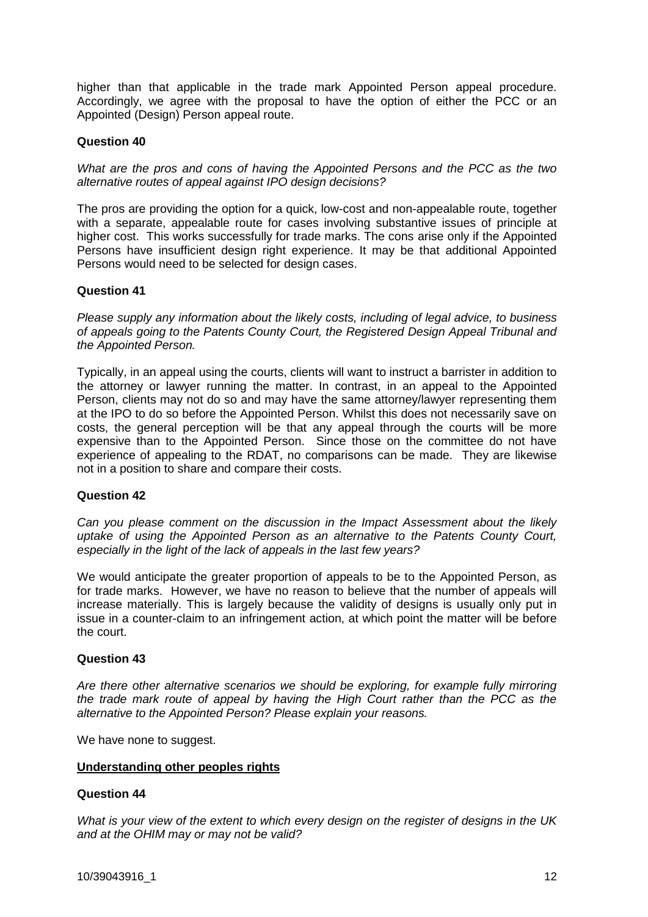higher than that applicable in the trade mark Appointed Person appeal procedure. Accordingly, we agree with the proposal to have the option of either the PCC or an Appointed (Design) Person appeal route.

## **Question 40**

*What are the pros and cons of having the Appointed Persons and the PCC as the two alternative routes of appeal against IPO design decisions?*

The pros are providing the option for a quick, low-cost and non-appealable route, together with a separate, appealable route for cases involving substantive issues of principle at higher cost. This works successfully for trade marks. The cons arise only if the Appointed Persons have insufficient design right experience. It may be that additional Appointed Persons would need to be selected for design cases.

## **Question 41**

*Please supply any information about the likely costs, including of legal advice, to business of appeals going to the Patents County Court, the Registered Design Appeal Tribunal and the Appointed Person.*

Typically, in an appeal using the courts, clients will want to instruct a barrister in addition to the attorney or lawyer running the matter. In contrast, in an appeal to the Appointed Person, clients may not do so and may have the same attorney/lawyer representing them at the IPO to do so before the Appointed Person. Whilst this does not necessarily save on costs, the general perception will be that any appeal through the courts will be more expensive than to the Appointed Person. Since those on the committee do not have experience of appealing to the RDAT, no comparisons can be made. They are likewise not in a position to share and compare their costs.

## **Question 42**

*Can you please comment on the discussion in the Impact Assessment about the likely uptake of using the Appointed Person as an alternative to the Patents County Court, especially in the light of the lack of appeals in the last few years?*

We would anticipate the greater proportion of appeals to be to the Appointed Person, as for trade marks. However, we have no reason to believe that the number of appeals will increase materially. This is largely because the validity of designs is usually only put in issue in a counter-claim to an infringement action, at which point the matter will be before the court.

## **Question 43**

*Are there other alternative scenarios we should be exploring, for example fully mirroring the trade mark route of appeal by having the High Court rather than the PCC as the alternative to the Appointed Person? Please explain your reasons.*

We have none to suggest.

## **Understanding other peoples rights**

## **Question 44**

*What is your view of the extent to which every design on the register of designs in the UK and at the OHIM may or may not be valid?*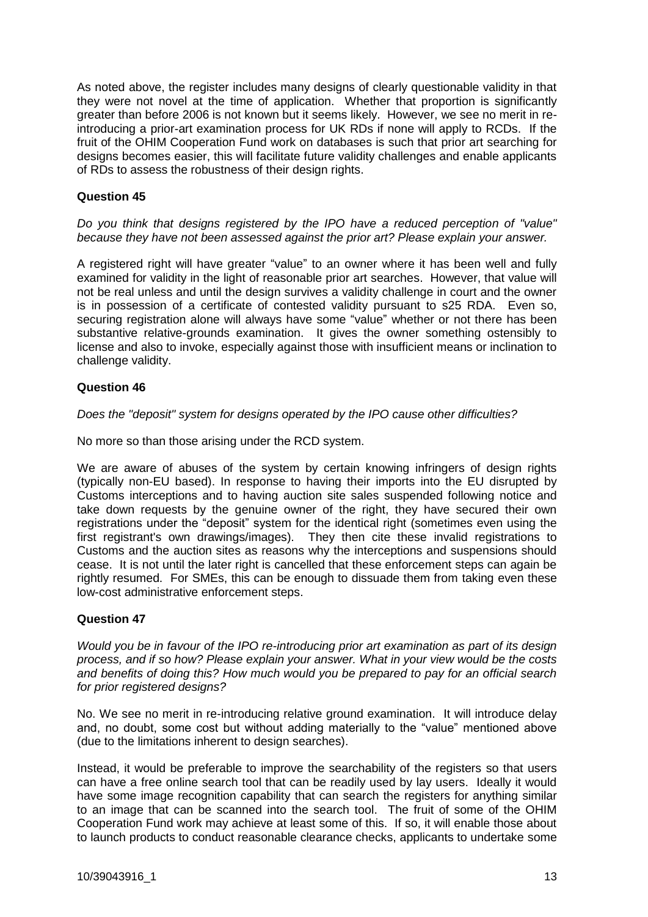As noted above, the register includes many designs of clearly questionable validity in that they were not novel at the time of application. Whether that proportion is significantly greater than before 2006 is not known but it seems likely. However, we see no merit in reintroducing a prior-art examination process for UK RDs if none will apply to RCDs. If the fruit of the OHIM Cooperation Fund work on databases is such that prior art searching for designs becomes easier, this will facilitate future validity challenges and enable applicants of RDs to assess the robustness of their design rights.

## **Question 45**

*Do you think that designs registered by the IPO have a reduced perception of "value" because they have not been assessed against the prior art? Please explain your answer.*

A registered right will have greater "value" to an owner where it has been well and fully examined for validity in the light of reasonable prior art searches. However, that value will not be real unless and until the design survives a validity challenge in court and the owner is in possession of a certificate of contested validity pursuant to s25 RDA. Even so, securing registration alone will always have some "value" whether or not there has been substantive relative-grounds examination. It gives the owner something ostensibly to license and also to invoke, especially against those with insufficient means or inclination to challenge validity.

## **Question 46**

*Does the "deposit" system for designs operated by the IPO cause other difficulties?*

No more so than those arising under the RCD system.

We are aware of abuses of the system by certain knowing infringers of design rights (typically non-EU based). In response to having their imports into the EU disrupted by Customs interceptions and to having auction site sales suspended following notice and take down requests by the genuine owner of the right, they have secured their own registrations under the "deposit" system for the identical right (sometimes even using the first registrant's own drawings/images). They then cite these invalid registrations to Customs and the auction sites as reasons why the interceptions and suspensions should cease. It is not until the later right is cancelled that these enforcement steps can again be rightly resumed. For SMEs, this can be enough to dissuade them from taking even these low-cost administrative enforcement steps.

# **Question 47**

*Would you be in favour of the IPO re-introducing prior art examination as part of its design process, and if so how? Please explain your answer. What in your view would be the costs and benefits of doing this? How much would you be prepared to pay for an official search for prior registered designs?*

No. We see no merit in re-introducing relative ground examination. It will introduce delay and, no doubt, some cost but without adding materially to the "value" mentioned above (due to the limitations inherent to design searches).

Instead, it would be preferable to improve the searchability of the registers so that users can have a free online search tool that can be readily used by lay users. Ideally it would have some image recognition capability that can search the registers for anything similar to an image that can be scanned into the search tool. The fruit of some of the OHIM Cooperation Fund work may achieve at least some of this. If so, it will enable those about to launch products to conduct reasonable clearance checks, applicants to undertake some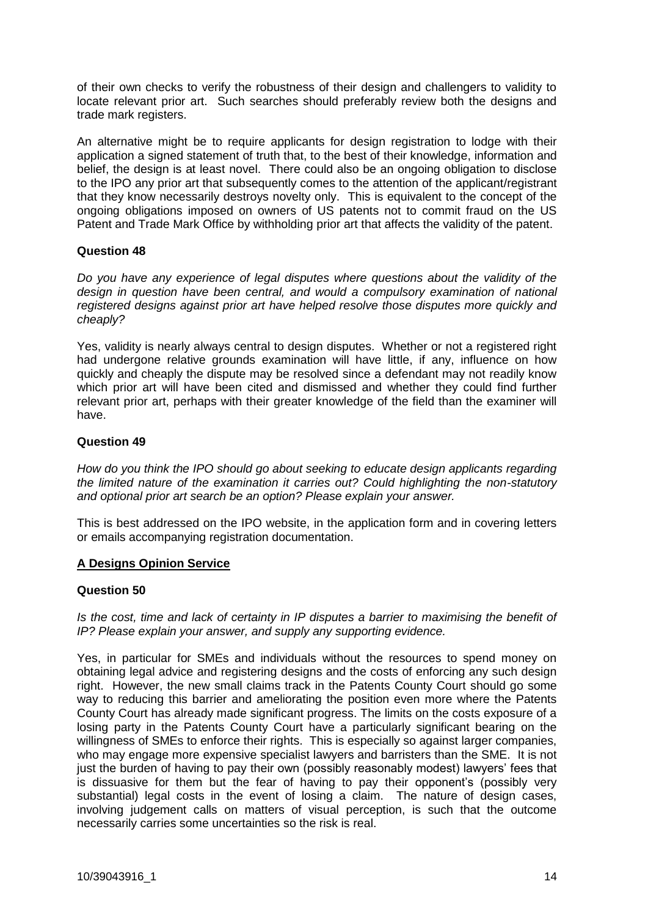of their own checks to verify the robustness of their design and challengers to validity to locate relevant prior art. Such searches should preferably review both the designs and trade mark registers.

An alternative might be to require applicants for design registration to lodge with their application a signed statement of truth that, to the best of their knowledge, information and belief, the design is at least novel. There could also be an ongoing obligation to disclose to the IPO any prior art that subsequently comes to the attention of the applicant/registrant that they know necessarily destroys novelty only. This is equivalent to the concept of the ongoing obligations imposed on owners of US patents not to commit fraud on the US Patent and Trade Mark Office by withholding prior art that affects the validity of the patent.

## **Question 48**

*Do you have any experience of legal disputes where questions about the validity of the design in question have been central, and would a compulsory examination of national registered designs against prior art have helped resolve those disputes more quickly and cheaply?*

Yes, validity is nearly always central to design disputes. Whether or not a registered right had undergone relative grounds examination will have little, if any, influence on how quickly and cheaply the dispute may be resolved since a defendant may not readily know which prior art will have been cited and dismissed and whether they could find further relevant prior art, perhaps with their greater knowledge of the field than the examiner will have.

## **Question 49**

*How do you think the IPO should go about seeking to educate design applicants regarding the limited nature of the examination it carries out? Could highlighting the non-statutory and optional prior art search be an option? Please explain your answer.*

This is best addressed on the IPO website, in the application form and in covering letters or emails accompanying registration documentation.

## **A Designs Opinion Service**

## **Question 50**

Is the cost, time and lack of certainty in IP disputes a barrier to maximising the benefit of *IP? Please explain your answer, and supply any supporting evidence.*

Yes, in particular for SMEs and individuals without the resources to spend money on obtaining legal advice and registering designs and the costs of enforcing any such design right. However, the new small claims track in the Patents County Court should go some way to reducing this barrier and ameliorating the position even more where the Patents County Court has already made significant progress. The limits on the costs exposure of a losing party in the Patents County Court have a particularly significant bearing on the willingness of SMEs to enforce their rights. This is especially so against larger companies, who may engage more expensive specialist lawyers and barristers than the SME. It is not just the burden of having to pay their own (possibly reasonably modest) lawyers' fees that is dissuasive for them but the fear of having to pay their opponent's (possibly very substantial) legal costs in the event of losing a claim. The nature of design cases, involving judgement calls on matters of visual perception, is such that the outcome necessarily carries some uncertainties so the risk is real.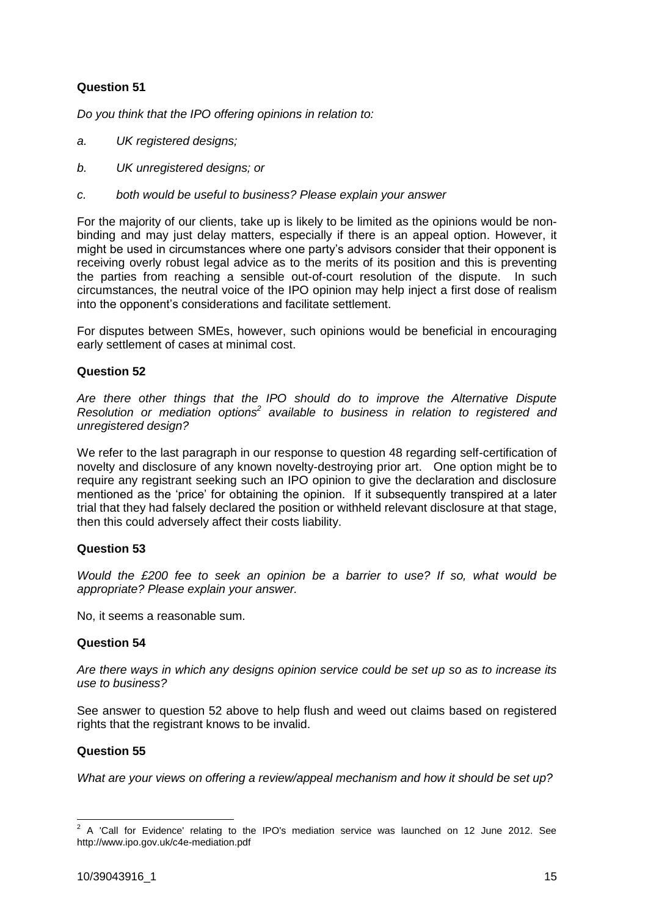# **Question 51**

*Do you think that the IPO offering opinions in relation to:*

- *a. UK registered designs;*
- *b. UK unregistered designs; or*
- *c. both would be useful to business? Please explain your answer*

For the majority of our clients, take up is likely to be limited as the opinions would be nonbinding and may just delay matters, especially if there is an appeal option. However, it might be used in circumstances where one party's advisors consider that their opponent is receiving overly robust legal advice as to the merits of its position and this is preventing the parties from reaching a sensible out-of-court resolution of the dispute. In such circumstances, the neutral voice of the IPO opinion may help inject a first dose of realism into the opponent's considerations and facilitate settlement.

For disputes between SMEs, however, such opinions would be beneficial in encouraging early settlement of cases at minimal cost.

# **Question 52**

*Are there other things that the IPO should do to improve the Alternative Dispute Resolution or mediation options<sup>2</sup> available to business in relation to registered and unregistered design?*

We refer to the last paragraph in our response to question 48 regarding self-certification of novelty and disclosure of any known novelty-destroying prior art. One option might be to require any registrant seeking such an IPO opinion to give the declaration and disclosure mentioned as the 'price' for obtaining the opinion. If it subsequently transpired at a later trial that they had falsely declared the position or withheld relevant disclosure at that stage, then this could adversely affect their costs liability.

## **Question 53**

*Would the £200 fee to seek an opinion be a barrier to use? If so, what would be appropriate? Please explain your answer.*

No, it seems a reasonable sum.

## **Question 54**

*Are there ways in which any designs opinion service could be set up so as to increase its use to business?*

See answer to question 52 above to help flush and weed out claims based on registered rights that the registrant knows to be invalid.

## **Question 55**

*What are your views on offering a review/appeal mechanism and how it should be set up?*

 2 A 'Call for Evidence' relating to the IPO's mediation service was launched on 12 June 2012. See http://www.ipo.gov.uk/c4e-mediation.pdf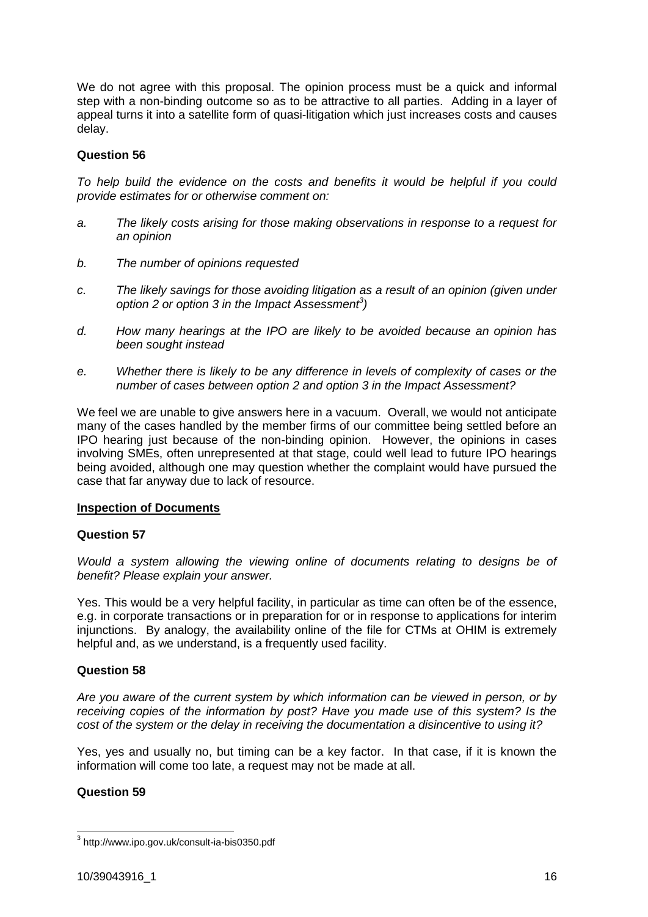We do not agree with this proposal. The opinion process must be a quick and informal step with a non-binding outcome so as to be attractive to all parties. Adding in a layer of appeal turns it into a satellite form of quasi-litigation which just increases costs and causes delay.

## **Question 56**

*To help build the evidence on the costs and benefits it would be helpful if you could provide estimates for or otherwise comment on:*

- *a. The likely costs arising for those making observations in response to a request for an opinion*
- *b. The number of opinions requested*
- *c. The likely savings for those avoiding litigation as a result of an opinion (given under option 2 or option 3 in the Impact Assessment<sup>3</sup> )*
- *d. How many hearings at the IPO are likely to be avoided because an opinion has been sought instead*
- *e. Whether there is likely to be any difference in levels of complexity of cases or the number of cases between option 2 and option 3 in the Impact Assessment?*

We feel we are unable to give answers here in a vacuum. Overall, we would not anticipate many of the cases handled by the member firms of our committee being settled before an IPO hearing just because of the non-binding opinion. However, the opinions in cases involving SMEs, often unrepresented at that stage, could well lead to future IPO hearings being avoided, although one may question whether the complaint would have pursued the case that far anyway due to lack of resource.

## **Inspection of Documents**

## **Question 57**

*Would a system allowing the viewing online of documents relating to designs be of benefit? Please explain your answer.*

Yes. This would be a very helpful facility, in particular as time can often be of the essence, e.g. in corporate transactions or in preparation for or in response to applications for interim injunctions. By analogy, the availability online of the file for CTMs at OHIM is extremely helpful and, as we understand, is a frequently used facility.

# **Question 58**

*Are you aware of the current system by which information can be viewed in person, or by receiving copies of the information by post? Have you made use of this system? Is the cost of the system or the delay in receiving the documentation a disincentive to using it?*

Yes, yes and usually no, but timing can be a key factor. In that case, if it is known the information will come too late, a request may not be made at all.

# **Question 59**

 3 http://www.ipo.gov.uk/consult-ia-bis0350.pdf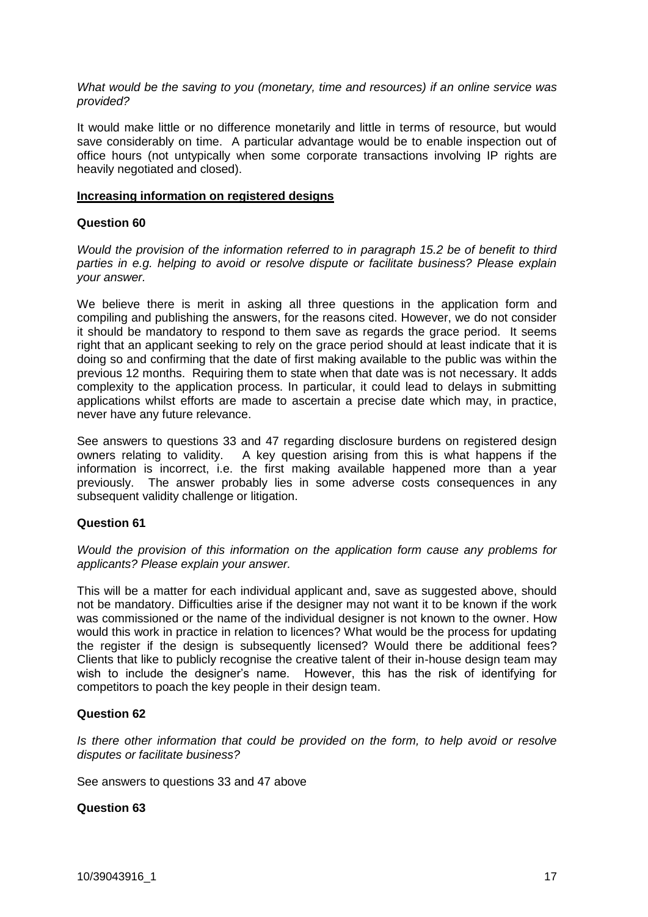*What would be the saving to you (monetary, time and resources) if an online service was provided?*

It would make little or no difference monetarily and little in terms of resource, but would save considerably on time. A particular advantage would be to enable inspection out of office hours (not untypically when some corporate transactions involving IP rights are heavily negotiated and closed).

#### **Increasing information on registered designs**

## **Question 60**

*Would the provision of the information referred to in paragraph 15.2 be of benefit to third parties in e.g. helping to avoid or resolve dispute or facilitate business? Please explain your answer.*

We believe there is merit in asking all three questions in the application form and compiling and publishing the answers, for the reasons cited. However, we do not consider it should be mandatory to respond to them save as regards the grace period. It seems right that an applicant seeking to rely on the grace period should at least indicate that it is doing so and confirming that the date of first making available to the public was within the previous 12 months. Requiring them to state when that date was is not necessary. It adds complexity to the application process. In particular, it could lead to delays in submitting applications whilst efforts are made to ascertain a precise date which may, in practice, never have any future relevance.

See answers to questions 33 and 47 regarding disclosure burdens on registered design owners relating to validity. A key question arising from this is what happens if the information is incorrect, i.e. the first making available happened more than a year previously. The answer probably lies in some adverse costs consequences in any subsequent validity challenge or litigation.

## **Question 61**

*Would the provision of this information on the application form cause any problems for applicants? Please explain your answer.*

This will be a matter for each individual applicant and, save as suggested above, should not be mandatory. Difficulties arise if the designer may not want it to be known if the work was commissioned or the name of the individual designer is not known to the owner. How would this work in practice in relation to licences? What would be the process for updating the register if the design is subsequently licensed? Would there be additional fees? Clients that like to publicly recognise the creative talent of their in-house design team may wish to include the designer's name. However, this has the risk of identifying for competitors to poach the key people in their design team.

## **Question 62**

*Is there other information that could be provided on the form, to help avoid or resolve disputes or facilitate business?*

See answers to questions 33 and 47 above

# **Question 63**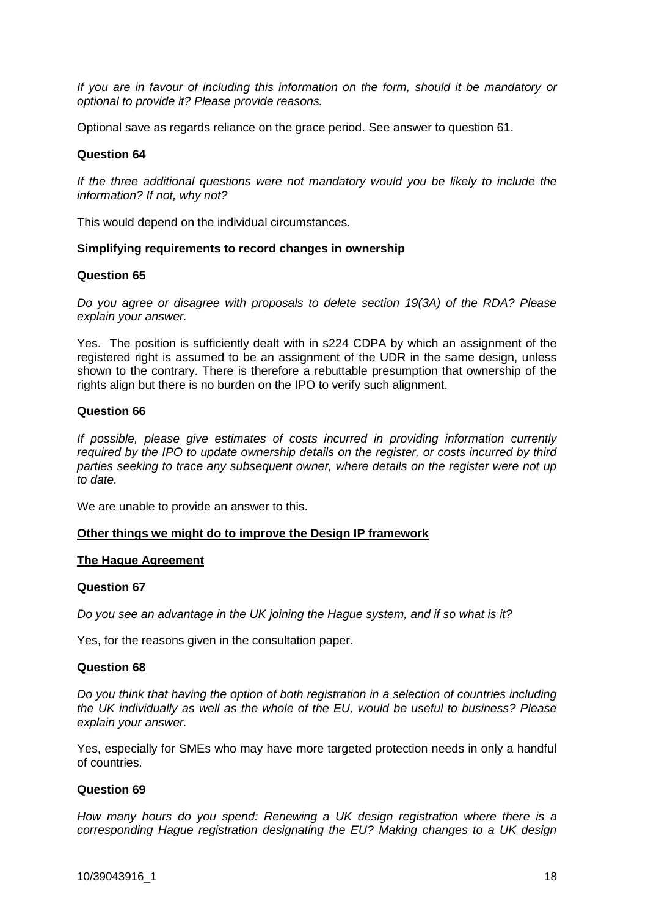*If you are in favour of including this information on the form, should it be mandatory or optional to provide it? Please provide reasons.*

Optional save as regards reliance on the grace period. See answer to question 61.

## **Question 64**

*If the three additional questions were not mandatory would you be likely to include the information? If not, why not?*

This would depend on the individual circumstances.

## **Simplifying requirements to record changes in ownership**

## **Question 65**

*Do you agree or disagree with proposals to delete section 19(3A) of the RDA? Please explain your answer.*

Yes. The position is sufficiently dealt with in s224 CDPA by which an assignment of the registered right is assumed to be an assignment of the UDR in the same design, unless shown to the contrary. There is therefore a rebuttable presumption that ownership of the rights align but there is no burden on the IPO to verify such alignment.

## **Question 66**

*If possible, please give estimates of costs incurred in providing information currently required by the IPO to update ownership details on the register, or costs incurred by third parties seeking to trace any subsequent owner, where details on the register were not up to date.*

We are unable to provide an answer to this.

## **Other things we might do to improve the Design IP framework**

#### **The Hague Agreement**

#### **Question 67**

*Do you see an advantage in the UK joining the Hague system, and if so what is it?*

Yes, for the reasons given in the consultation paper.

## **Question 68**

*Do you think that having the option of both registration in a selection of countries including the UK individually as well as the whole of the EU, would be useful to business? Please explain your answer.*

Yes, especially for SMEs who may have more targeted protection needs in only a handful of countries.

## **Question 69**

*How many hours do you spend: Renewing a UK design registration where there is a corresponding Hague registration designating the EU? Making changes to a UK design*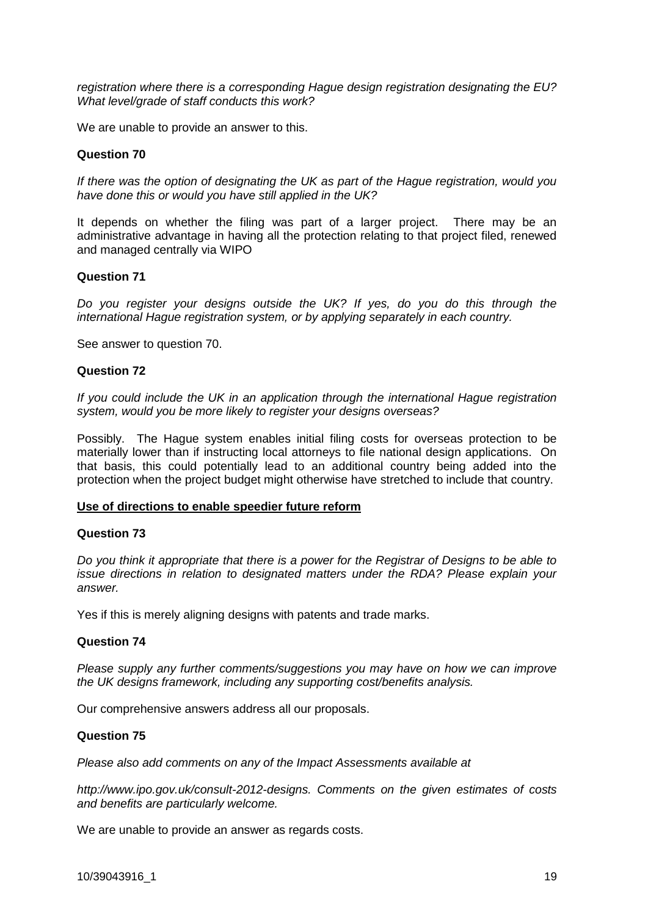*registration where there is a corresponding Hague design registration designating the EU? What level/grade of staff conducts this work?*

We are unable to provide an answer to this.

## **Question 70**

*If there was the option of designating the UK as part of the Hague registration, would you have done this or would you have still applied in the UK?*

It depends on whether the filing was part of a larger project. There may be an administrative advantage in having all the protection relating to that project filed, renewed and managed centrally via WIPO

#### **Question 71**

*Do you register your designs outside the UK? If yes, do you do this through the international Hague registration system, or by applying separately in each country.*

See answer to question 70.

#### **Question 72**

*If you could include the UK in an application through the international Hague registration system, would you be more likely to register your designs overseas?*

Possibly. The Hague system enables initial filing costs for overseas protection to be materially lower than if instructing local attorneys to file national design applications. On that basis, this could potentially lead to an additional country being added into the protection when the project budget might otherwise have stretched to include that country.

#### **Use of directions to enable speedier future reform**

#### **Question 73**

*Do you think it appropriate that there is a power for the Registrar of Designs to be able to issue directions in relation to designated matters under the RDA? Please explain your answer.*

Yes if this is merely aligning designs with patents and trade marks.

## **Question 74**

*Please supply any further comments/suggestions you may have on how we can improve the UK designs framework, including any supporting cost/benefits analysis.*

Our comprehensive answers address all our proposals.

## **Question 75**

*Please also add comments on any of the Impact Assessments available at*

*http://www.ipo.gov.uk/consult-2012-designs. Comments on the given estimates of costs and benefits are particularly welcome.*

We are unable to provide an answer as regards costs.